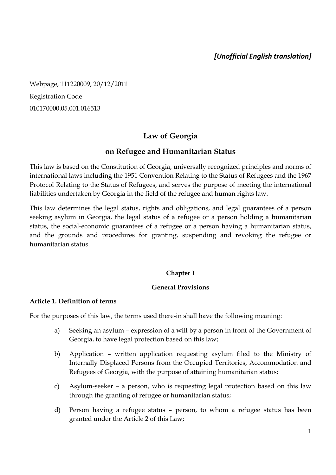# *[Unofficial English translation]*

Webpage, 111220009, 20/12/2011 Registration Code 010170000.05.001.016513

# **Law of Georgia**

## **on Refugee and Humanitarian Status**

This law is based on the Constitution of Georgia, universally recognized principles and norms of international laws including the 1951 Convention Relating to the Status of Refugees and the 1967 Protocol Relating to the Status of Refugees, and serves the purpose of meeting the international liabilities undertaken by Georgia in the field of the refugee and human rights law.

This law determines the legal status, rights and obligations, and legal guarantees of a person seeking asylum in Georgia, the legal status of a refugee or a person holding a humanitarian status, the social-economic guarantees of a refugee or a person having a humanitarian status, and the grounds and procedures for granting, suspending and revoking the refugee or humanitarian status.

#### **Chapter I**

#### **General Provisions**

#### **Article 1. Definition of terms**

For the purposes of this law, the terms used there-in shall have the following meaning:

- a) Seeking an asylum expression of a will by a person in front of the Government of Georgia, to have legal protection based on this law;
- b) Application written application requesting asylum filed to the Ministry of Internally Displaced Persons from the Occupied Territories, Accommodation and Refugees of Georgia, with the purpose of attaining humanitarian status;
- c) Asylum-seeker a person, who is requesting legal protection based on this law through the granting of refugee or humanitarian status;
- d) Person having a refugee status person, to whom a refugee status has been granted under the Article 2 of this Law;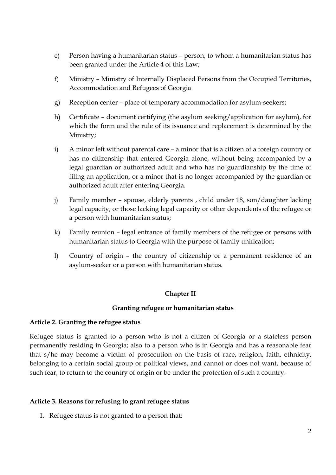- e) Person having a humanitarian status person, to whom a humanitarian status has been granted under the Article 4 of this Law;
- f) Ministry Ministry of Internally Displaced Persons from the Occupied Territories, Accommodation and Refugees of Georgia
- g) Reception center place of temporary accommodation for asylum-seekers;
- h) Certificate document certifying (the asylum seeking/application for asylum), for which the form and the rule of its issuance and replacement is determined by the Ministry;
- i) A minor left without parental care a minor that is a citizen of a foreign country or has no citizenship that entered Georgia alone, without being accompanied by a legal guardian or authorized adult and who has no guardianship by the time of filing an application, or a minor that is no longer accompanied by the guardian or authorized adult after entering Georgia.
- j) Family member spouse, elderly parents , child under 18, son/daughter lacking legal capacity, or those lacking legal capacity or other dependents of the refugee or a person with humanitarian status;
- k) Family reunion legal entrance of family members of the refugee or persons with humanitarian status to Georgia with the purpose of family unification;
- l) Country of origin the country of citizenship or a permanent residence of an asylum-seeker or a person with humanitarian status.

#### **Chapter II**

#### **Granting refugee or humanitarian status**

#### **Article 2. Granting the refugee status**

Refugee status is granted to a person who is not a citizen of Georgia or a stateless person permanently residing in Georgia; also to a person who is in Georgia and has a reasonable fear that s/he may become a victim of prosecution on the basis of race, religion, faith, ethnicity, belonging to a certain social group or political views, and cannot or does not want, because of such fear, to return to the country of origin or be under the protection of such a country.

#### **Article 3. Reasons for refusing to grant refugee status**

1. Refugee status is not granted to a person that: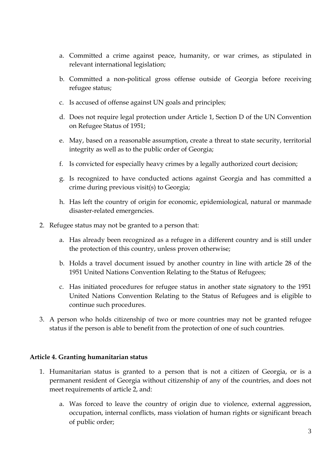- a. Committed a crime against peace, humanity, or war crimes, as stipulated in relevant international legislation;
- b. Committed a non-political gross offense outside of Georgia before receiving refugee status;
- c. Is accused of offense against UN goals and principles;
- d. Does not require legal protection under Article 1, Section D of the UN Convention on Refugee Status of 1951;
- e. May, based on a reasonable assumption, create a threat to state security, territorial integrity as well as to the public order of Georgia;
- f. Is convicted for especially heavy crimes by a legally authorized court decision;
- g. Is recognized to have conducted actions against Georgia and has committed a crime during previous visit(s) to Georgia;
- h. Has left the country of origin for economic, epidemiological, natural or manmade disaster-related emergencies.
- 2. Refugee status may not be granted to a person that:
	- a. Has already been recognized as a refugee in a different country and is still under the protection of this country, unless proven otherwise;
	- b. Holds a travel document issued by another country in line with article 28 of the 1951 United Nations Convention Relating to the Status of Refugees;
	- c. Has initiated procedures for refugee status in another state signatory to the 1951 United Nations Convention Relating to the Status of Refugees and is eligible to continue such procedures.
- 3. A person who holds citizenship of two or more countries may not be granted refugee status if the person is able to benefit from the protection of one of such countries.

#### **Article 4. Granting humanitarian status**

- 1. Humanitarian status is granted to a person that is not a citizen of Georgia, or is a permanent resident of Georgia without citizenship of any of the countries, and does not meet requirements of article 2, and:
	- a. Was forced to leave the country of origin due to violence, external aggression, occupation, internal conflicts, mass violation of human rights or significant breach of public order;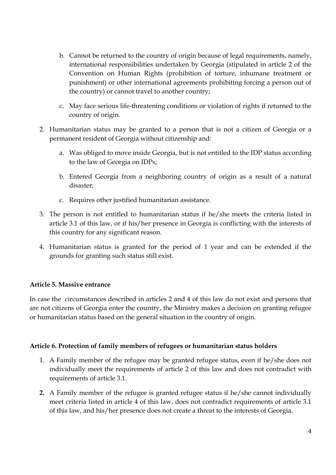- b. Cannot be returned to the country of origin because of legal requirements, namely, international responsibilities undertaken by Georgia (stipulated in article 2 of the Convention on Human Rights (prohibition of torture, inhumane treatment or punishment) or other international agreements prohibiting forcing a person out of the country) or cannot travel to another country;
- c. May face serious life-threatening conditions or violation of rights if returned to the country of origin.
- 2. Humanitarian status may be granted to a person that is not a citizen of Georgia or a permanent resident of Georgia without citizenship and:
	- a. Was obliged to move inside Georgia, but is not entitled to the IDP status according to the law of Georgia on IDPs;
	- b. Entered Georgia from a neighboring country of origin as a result of a natural disaster;
	- c. Requires other justified humanitarian assistance.
- 3. The person is not entitled to humanitarian status if he/she meets the criteria listed in article 3.1 of this law, or if his/her presence in Georgia is conflicting with the interests of this country for any significant reason.
- 4. Humanitarian status is granted for the period of 1 year and can be extended if the grounds for granting such status still exist.

# **Article 5. Massive entrance**

In case the circumstances described in articles 2 and 4 of this law do not exist and persons that are not citizens of Georgia enter the country, the Ministry makes a decision on granting refugee or humanitarian status based on the general situation in the country of origin.

## **Article 6. Protection of family members of refugees or humanitarian status holders**

- 1. A Family member of the refugee may be granted refugee status, even if he/she does not individually meet the requirements of article 2 of this law and does not contradict with requirements of article 3.1.
- **2.** A Family member of the refugee is granted refugee status if he/she cannot individually meet criteria listed in article 4 of this law, does not contradict requirements of article 3.1 of this law, and his/her presence does not create a threat to the interests of Georgia.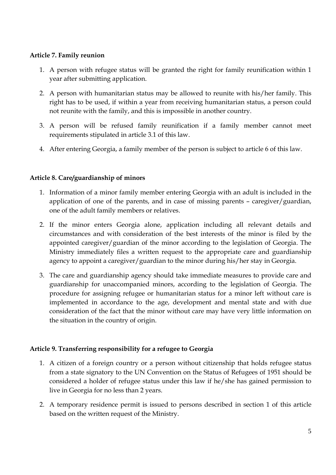### **Article 7. Family reunion**

- 1. A person with refugee status will be granted the right for family reunification within 1 year after submitting application.
- 2. A person with humanitarian status may be allowed to reunite with his/her family. This right has to be used, if within a year from receiving humanitarian status, a person could not reunite with the family, and this is impossible in another country.
- 3. A person will be refused family reunification if a family member cannot meet requirements stipulated in article 3.1 of this law.
- 4. After entering Georgia, a family member of the person is subject to article 6 of this law.

## **Article 8. Care/guardianship of minors**

- 1. Information of a minor family member entering Georgia with an adult is included in the application of one of the parents, and in case of missing parents – caregiver/guardian, one of the adult family members or relatives.
- 2. If the minor enters Georgia alone, application including all relevant details and circumstances and with consideration of the best interests of the minor is filed by the appointed caregiver/guardian of the minor according to the legislation of Georgia. The Ministry immediately files a written request to the appropriate care and guardianship agency to appoint a caregiver/guardian to the minor during his/her stay in Georgia.
- 3. The care and guardianship agency should take immediate measures to provide care and guardianship for unaccompanied minors, according to the legislation of Georgia. The procedure for assigning refugee or humanitarian status for a minor left without care is implemented in accordance to the age, development and mental state and with due consideration of the fact that the minor without care may have very little information on the situation in the country of origin.

## **Article 9. Transferring responsibility for a refugee to Georgia**

- 1. A citizen of a foreign country or a person without citizenship that holds refugee status from a state signatory to the UN Convention on the Status of Refugees of 1951 should be considered a holder of refugee status under this law if he/she has gained permission to live in Georgia for no less than 2 years.
- 2. A temporary residence permit is issued to persons described in section 1 of this article based on the written request of the Ministry.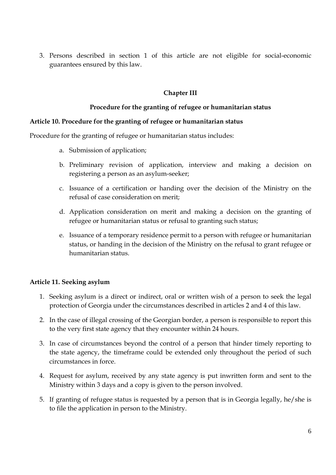3. Persons described in section 1 of this article are not eligible for social-economic guarantees ensured by this law.

### **Chapter III**

#### **Procedure for the granting of refugee or humanitarian status**

#### **Article 10. Procedure for the granting of refugee or humanitarian status**

Procedure for the granting of refugee or humanitarian status includes:

- a. Submission of application;
- b. Preliminary revision of application, interview and making a decision on registering a person as an asylum-seeker;
- c. Issuance of a certification or handing over the decision of the Ministry on the refusal of case consideration on merit;
- d. Application consideration on merit and making a decision on the granting of refugee or humanitarian status or refusal to granting such status;
- e. Issuance of a temporary residence permit to a person with refugee or humanitarian status, or handing in the decision of the Ministry on the refusal to grant refugee or humanitarian status.

#### **Article 11. Seeking asylum**

- 1. Seeking asylum is a direct or indirect, oral or written wish of a person to seek the legal protection of Georgia under the circumstances described in articles 2 and 4 of this law.
- 2. In the case of illegal crossing of the Georgian border, a person is responsible to report this to the very first state agency that they encounter within 24 hours.
- 3. In case of circumstances beyond the control of a person that hinder timely reporting to the state agency, the timeframe could be extended only throughout the period of such circumstances in force.
- 4. Request for asylum, received by any state agency is put inwritten form and sent to the Ministry within 3 days and a copy is given to the person involved.
- 5. If granting of refugee status is requested by a person that is in Georgia legally, he/she is to file the application in person to the Ministry.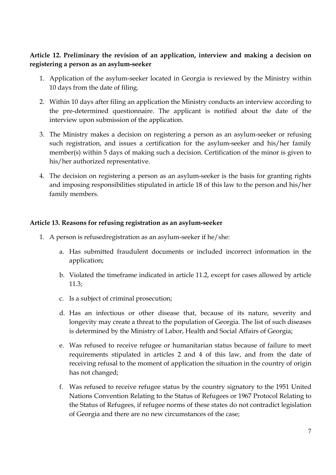## **Article 12. Preliminary the revision of an application, interview and making a decision on registering a person as an asylum-seeker**

- 1. Application of the asylum-seeker located in Georgia is reviewed by the Ministry within 10 days from the date of filing.
- 2. Within 10 days after filing an application the Ministry conducts an interview according to the pre-determined questionnaire. The applicant is notified about the date of the interview upon submission of the application.
- 3. The Ministry makes a decision on registering a person as an asylum-seeker or refusing such registration, and issues a certification for the asylum-seeker and his/her family member(s) within 5 days of making such a decision. Certification of the minor is given to his/her authorized representative.
- 4. The decision on registering a person as an asylum-seeker is the basis for granting rights and imposing responsibilities stipulated in article 18 of this law to the person and his/her family members.

#### **Article 13. Reasons for refusing registration as an asylum-seeker**

- 1. A person is refusedregistration as an asylum-seeker if he/she:
	- a. Has submitted fraudulent documents or included incorrect information in the application;
	- b. Violated the timeframe indicated in article 11.2, except for cases allowed by article 11.3;
	- c. Is a subject of criminal prosecution;
	- d. Has an infectious or other disease that, because of its nature, severity and longevity may create a threat to the population of Georgia. The list of such diseases is determined by the Ministry of Labor, Health and Social Affairs of Georgia;
	- e. Was refused to receive refugee or humanitarian status because of failure to meet requirements stipulated in articles 2 and 4 of this law, and from the date of receiving refusal to the moment of application the situation in the country of origin has not changed;
	- f. Was refused to receive refugee status by the country signatory to the 1951 United Nations Convention Relating to the Status of Refugees or 1967 Protocol Relating to the Status of Refugees, if refugee norms of these states do not contradict legislation of Georgia and there are no new circumstances of the case;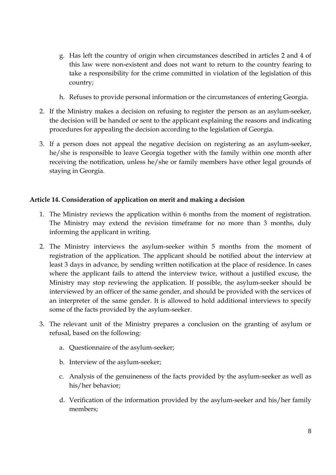- g. Has left the country of origin when circumstances described in articles 2 and 4 of this law were non-existent and does not want to return to the country fearing to take a responsibility for the crime committed in violation of the legislation of this country;
- h. Refuses to provide personal information or the circumstances of entering Georgia.
- 2. If the Ministry makes a decision on refusing to register the person as an asylum-seeker, the decision will be handed or sent to the applicant explaining the reasons and indicating procedures for appealing the decision according to the legislation of Georgia.
- 3. If a person does not appeal the negative decision on registering as an asylum-seeker, he/she is responsible to leave Georgia together with the family within one month after receiving the notification, unless he/she or family members have other legal grounds of staying in Georgia.

### **Article 14. Consideration of application on merit and making a decision**

- 1. The Ministry reviews the application within 6 months from the moment of registration. The Ministry may extend the revision timeframe for no more than 3 months, duly informing the applicant in writing.
- 2. The Ministry interviews the asylum-seeker within 5 months from the moment of registration of the application. The applicant should be notified about the interview at least 3 days in advance, by sending written notification at the place of residence. In cases where the applicant fails to attend the interview twice, without a justified excuse, the Ministry may stop reviewing the application. If possible, the asylum-seeker should be interviewed by an officer of the same gender, and should be provided with the services of an interpreter of the same gender. It is allowed to hold additional interviews to specify some of the facts provided by the asylum-seeker.
- 3. The relevant unit of the Ministry prepares a conclusion on the granting of asylum or refusal, based on the following:
	- a. Questionnaire of the asylum-seeker;
	- b. Interview of the asylum-seeker;
	- c. Analysis of the genuineness of the facts provided by the asylum-seeker as well as his/her behavior;
	- d. Verification of the information provided by the asylum-seeker and his/her family members;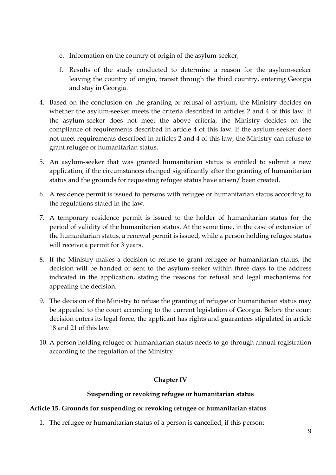- e. Information on the country of origin of the asylum-seeker;
- f. Results of the study conducted to determine a reason for the asylum-seeker leaving the country of origin, transit through the third country, entering Georgia and stay in Georgia.
- 4. Based on the conclusion on the granting or refusal of asylum, the Ministry decides on whether the asylum-seeker meets the criteria described in articles 2 and 4 of this law. If the asylum-seeker does not meet the above criteria, the Ministry decides on the compliance of requirements described in article 4 of this law. If the asylum-seeker does not meet requirements described in articles 2 and 4 of this law, the Ministry can refuse to grant refugee or humanitarian status.
- 5. An asylum-seeker that was granted humanitarian status is entitled to submit a new application, if the circumstances changed significantly after the granting of humanitarian status and the grounds for requesting refugee status have arisen/ been created.
- 6. A residence permit is issued to persons with refugee or humanitarian status according to the regulations stated in the law.
- 7. A temporary residence permit is issued to the holder of humanitarian status for the period of validity of the humanitarian status. At the same time, in the case of extension of the humanitarian status, a renewal permit is issued, while a person holding refugee status will receive a permit for 3 years.
- 8. If the Ministry makes a decision to refuse to grant refugee or humanitarian status, the decision will be handed or sent to the asylum-seeker within three days to the address indicated in the application, stating the reasons for refusal and legal mechanisms for appealing the decision.
- 9. The decision of the Ministry to refuse the granting of refugee or humanitarian status may be appealed to the court according to the current legislation of Georgia. Before the court decision enters its legal force, the applicant has rights and guarantees stipulated in article 18 and 21 of this law.
- 10. A person holding refugee or humanitarian status needs to go through annual registration according to the regulation of the Ministry.

## **Chapter IV**

## **Suspending or revoking refugee or humanitarian status**

## **Article 15. Grounds for suspending or revoking refugee or humanitarian status**

1. The refugee or humanitarian status of a person is cancelled, if this person: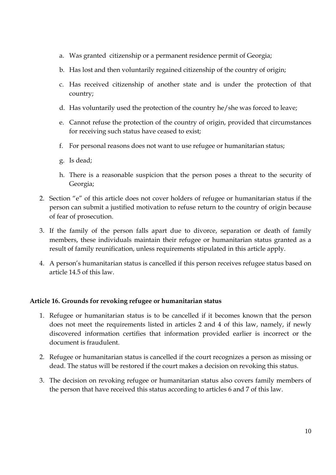- a. Was granted citizenship or a permanent residence permit of Georgia;
- b. Has lost and then voluntarily regained citizenship of the country of origin;
- c. Has received citizenship of another state and is under the protection of that country;
- d. Has voluntarily used the protection of the country he/she was forced to leave;
- e. Cannot refuse the protection of the country of origin, provided that circumstances for receiving such status have ceased to exist;
- f. For personal reasons does not want to use refugee or humanitarian status;
- g. Is dead;
- h. There is a reasonable suspicion that the person poses a threat to the security of Georgia;
- 2. Section "e" of this article does not cover holders of refugee or humanitarian status if the person can submit a justified motivation to refuse return to the country of origin because of fear of prosecution.
- 3. If the family of the person falls apart due to divorce, separation or death of family members, these individuals maintain their refugee or humanitarian status granted as a result of family reunification, unless requirements stipulated in this article apply.
- 4. A person's humanitarian status is cancelled if this person receives refugee status based on article 14.5 of this law.

#### **Article 16. Grounds for revoking refugee or humanitarian status**

- 1. Refugee or humanitarian status is to be cancelled if it becomes known that the person does not meet the requirements listed in articles 2 and 4 of this law, namely, if newly discovered information certifies that information provided earlier is incorrect or the document is fraudulent.
- 2. Refugee or humanitarian status is cancelled if the court recognizes a person as missing or dead. The status will be restored if the court makes a decision on revoking this status.
- 3. The decision on revoking refugee or humanitarian status also covers family members of the person that have received this status according to articles 6 and 7 of this law.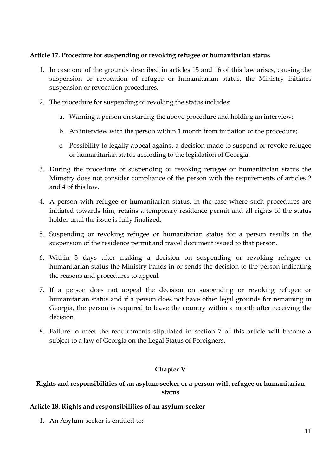### **Article 17. Procedure for suspending or revoking refugee or humanitarian status**

- 1. In case one of the grounds described in articles 15 and 16 of this law arises, causing the suspension or revocation of refugee or humanitarian status, the Ministry initiates suspension or revocation procedures.
- 2. The procedure for suspending or revoking the status includes:
	- a. Warning a person on starting the above procedure and holding an interview;
	- b. An interview with the person within 1 month from initiation of the procedure;
	- c. Possibility to legally appeal against a decision made to suspend or revoke refugee or humanitarian status according to the legislation of Georgia.
- 3. During the procedure of suspending or revoking refugee or humanitarian status the Ministry does not consider compliance of the person with the requirements of articles 2 and 4 of this law.
- 4. A person with refugee or humanitarian status, in the case where such procedures are initiated towards him, retains a temporary residence permit and all rights of the status holder until the issue is fully finalized.
- 5. Suspending or revoking refugee or humanitarian status for a person results in the suspension of the residence permit and travel document issued to that person.
- 6. Within 3 days after making a decision on suspending or revoking refugee or humanitarian status the Ministry hands in or sends the decision to the person indicating the reasons and procedures to appeal.
- 7. If a person does not appeal the decision on suspending or revoking refugee or humanitarian status and if a person does not have other legal grounds for remaining in Georgia, the person is required to leave the country within a month after receiving the decision.
- 8. Failure to meet the requirements stipulated in section 7 of this article will become a subject to a law of Georgia on the Legal Status of Foreigners.

## **Chapter V**

# **Rights and responsibilities of an asylum-seeker or a person with refugee or humanitarian status**

#### **Article 18. Rights and responsibilities of an asylum-seeker**

1. An Asylum-seeker is entitled to: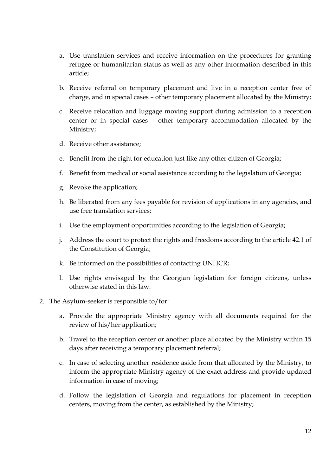- a. Use translation services and receive information on the procedures for granting refugee or humanitarian status as well as any other information described in this article;
- b. Receive referral on temporary placement and live in a reception center free of charge, and in special cases – other temporary placement allocated by the Ministry;
- c. Receive relocation and luggage moving support during admission to a reception center or in special cases – other temporary accommodation allocated by the Ministry;
- d. Receive other assistance;
- e. Benefit from the right for education just like any other citizen of Georgia;
- f. Benefit from medical or social assistance according to the legislation of Georgia;
- g. Revoke the application;
- h. Be liberated from any fees payable for revision of applications in any agencies, and use free translation services;
- i. Use the employment opportunities according to the legislation of Georgia;
- j. Address the court to protect the rights and freedoms according to the article 42.1 of the Constitution of Georgia;
- k. Be informed on the possibilities of contacting UNHCR;
- l. Use rights envisaged by the Georgian legislation for foreign citizens, unless otherwise stated in this law.

#### 2. The Asylum-seeker is responsible to/for:

- a. Provide the appropriate Ministry agency with all documents required for the review of his/her application;
- b. Travel to the reception center or another place allocated by the Ministry within 15 days after receiving a temporary placement referral;
- c. In case of selecting another residence aside from that allocated by the Ministry, to inform the appropriate Ministry agency of the exact address and provide updated information in case of moving;
- d. Follow the legislation of Georgia and regulations for placement in reception centers, moving from the center, as established by the Ministry;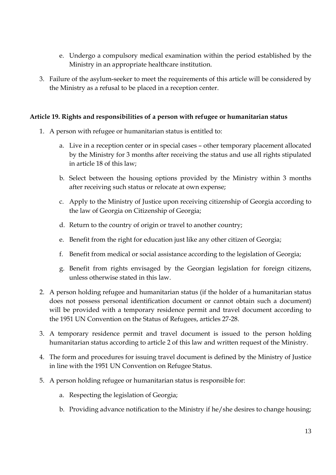- e. Undergo a compulsory medical examination within the period established by the Ministry in an appropriate healthcare institution.
- 3. Failure of the asylum-seeker to meet the requirements of this article will be considered by the Ministry as a refusal to be placed in a reception center.

### **Article 19. Rights and responsibilities of a person with refugee or humanitarian status**

- 1. A person with refugee or humanitarian status is entitled to:
	- a. Live in a reception center or in special cases other temporary placement allocated by the Ministry for 3 months after receiving the status and use all rights stipulated in article 18 of this law;
	- b. Select between the housing options provided by the Ministry within 3 months after receiving such status or relocate at own expense;
	- c. Apply to the Ministry of Justice upon receiving citizenship of Georgia according to the law of Georgia on Citizenship of Georgia;
	- d. Return to the country of origin or travel to another country;
	- e. Benefit from the right for education just like any other citizen of Georgia;
	- f. Benefit from medical or social assistance according to the legislation of Georgia;
	- g. Benefit from rights envisaged by the Georgian legislation for foreign citizens, unless otherwise stated in this law.
- 2. A person holding refugee and humanitarian status (if the holder of a humanitarian status does not possess personal identification document or cannot obtain such a document) will be provided with a temporary residence permit and travel document according to the 1951 UN Convention on the Status of Refugees, articles 27-28.
- 3. A temporary residence permit and travel document is issued to the person holding humanitarian status according to article 2 of this law and written request of the Ministry.
- 4. The form and procedures for issuing travel document is defined by the Ministry of Justice in line with the 1951 UN Convention on Refugee Status.
- 5. A person holding refugee or humanitarian status is responsible for:
	- a. Respecting the legislation of Georgia;
	- b. Providing advance notification to the Ministry if he/she desires to change housing;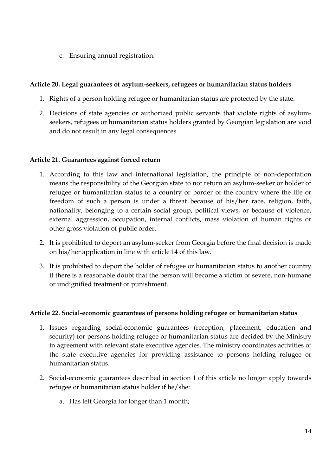c. Ensuring annual registration.

### **Article 20. Legal guarantees of asylum-seekers, refugees or humanitarian status holders**

- 1. Rights of a person holding refugee or humanitarian status are protected by the state.
- 2. Decisions of state agencies or authorized public servants that violate rights of asylumseekers, refugees or humanitarian status holders granted by Georgian legislation are void and do not result in any legal consequences.

#### **Article 21. Guarantees against forced return**

- 1. According to this law and international legislation, the principle of non-deportation means the responsibility of the Georgian state to not return an asylum-seeker or holder of refugee or humanitarian status to a country or border of the country where the life or freedom of such a person is under a threat because of his/her race, religion, faith, nationality, belonging to a certain social group, political views, or because of violence, external aggression, occupation, internal conflicts, mass violation of human rights or other gross violation of public order.
- 2. It is prohibited to deport an asylum-seeker from Georgia before the final decision is made on his/her application in line with article 14 of this law.
- 3. It is prohibited to deport the holder of refugee or humanitarian status to another country if there is a reasonable doubt that the person will become a victim of severe, non-humane or undignified treatment or punishment.

#### **Article 22. Social-economic guarantees of persons holding refugee or humanitarian status**

- 1. Issues regarding social-economic guarantees (reception, placement, education and security) for persons holding refugee or humanitarian status are decided by the Ministry in agreement with relevant state executive agencies. The ministry coordinates activities of the state executive agencies for providing assistance to persons holding refugee or humanitarian status.
- 2. Social-economic guarantees described in section 1 of this article no longer apply towards refugee or humanitarian status holder if he/she:
	- a. Has left Georgia for longer than 1 month;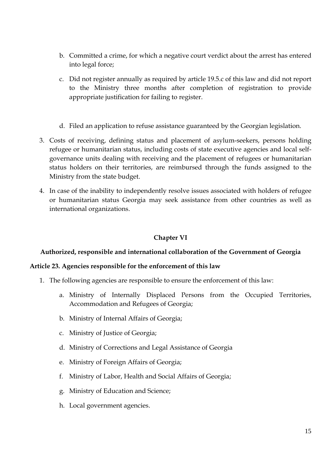- b. Committed a crime, for which a negative court verdict about the arrest has entered into legal force;
- c. Did not register annually as required by article 19.5.c of this law and did not report to the Ministry three months after completion of registration to provide appropriate justification for failing to register.
- d. Filed an application to refuse assistance guaranteed by the Georgian legislation.
- 3. Costs of receiving, defining status and placement of asylum-seekers, persons holding refugee or humanitarian status, including costs of state executive agencies and local selfgovernance units dealing with receiving and the placement of refugees or humanitarian status holders on their territories, are reimbursed through the funds assigned to the Ministry from the state budget.
- 4. In case of the inability to independently resolve issues associated with holders of refugee or humanitarian status Georgia may seek assistance from other countries as well as international organizations.

## **Chapter VI**

#### **Authorized, responsible and international collaboration of the Government of Georgia**

#### **Article 23. Agencies responsible for the enforcement of this law**

- 1. The following agencies are responsible to ensure the enforcement of this law:
	- a. Ministry of Internally Displaced Persons from the Occupied Territories, Accommodation and Refugees of Georgia;
	- b. Ministry of Internal Affairs of Georgia;
	- c. Ministry of Justice of Georgia;
	- d. Ministry of Corrections and Legal Assistance of Georgia
	- e. Ministry of Foreign Affairs of Georgia;
	- f. Ministry of Labor, Health and Social Affairs of Georgia;
	- g. Ministry of Education and Science;
	- h. Local government agencies.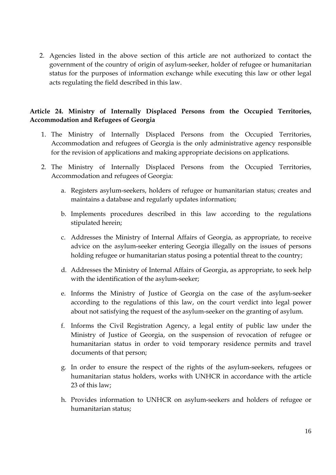2. Agencies listed in the above section of this article are not authorized to contact the government of the country of origin of asylum-seeker, holder of refugee or humanitarian status for the purposes of information exchange while executing this law or other legal acts regulating the field described in this law.

## **Article 24. Ministry of Internally Displaced Persons from the Occupied Territories, Accommodation and Refugees of Georgia**

- 1. The Ministry of Internally Displaced Persons from the Occupied Territories, Accommodation and refugees of Georgia is the only administrative agency responsible for the revision of applications and making appropriate decisions on applications.
- 2. The Ministry of Internally Displaced Persons from the Occupied Territories, Accommodation and refugees of Georgia:
	- a. Registers asylum-seekers, holders of refugee or humanitarian status; creates and maintains a database and regularly updates information;
	- b. Implements procedures described in this law according to the regulations stipulated herein;
	- c. Addresses the Ministry of Internal Affairs of Georgia, as appropriate, to receive advice on the asylum-seeker entering Georgia illegally on the issues of persons holding refugee or humanitarian status posing a potential threat to the country;
	- d. Addresses the Ministry of Internal Affairs of Georgia, as appropriate, to seek help with the identification of the asylum-seeker;
	- e. Informs the Ministry of Justice of Georgia on the case of the asylum-seeker according to the regulations of this law, on the court verdict into legal power about not satisfying the request of the asylum-seeker on the granting of asylum.
	- f. Informs the Civil Registration Agency, a legal entity of public law under the Ministry of Justice of Georgia, on the suspension of revocation of refugee or humanitarian status in order to void temporary residence permits and travel documents of that person;
	- g. In order to ensure the respect of the rights of the asylum-seekers, refugees or humanitarian status holders, works with UNHCR in accordance with the article 23 of this law;
	- h. Provides information to UNHCR on asylum-seekers and holders of refugee or humanitarian status;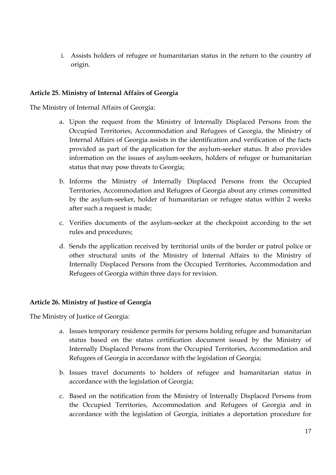i. Assists holders of refugee or humanitarian status in the return to the country of origin.

### **Article 25. Ministry of Internal Affairs of Georgia**

The Ministry of Internal Affairs of Georgia:

- a. Upon the request from the Ministry of Internally Displaced Persons from the Occupied Territories, Accommodation and Refugees of Georgia, the Ministry of Internal Affairs of Georgia assists in the identification and verification of the facts provided as part of the application for the asylum-seeker status. It also provides information on the issues of asylum-seekers, holders of refugee or humanitarian status that may pose threats to Georgia;
- b. Informs the Ministry of Internally Displaced Persons from the Occupied Territories, Accommodation and Refugees of Georgia about any crimes committed by the asylum-seeker, holder of humanitarian or refugee status within 2 weeks after such a request is made;
- c. Verifies documents of the asylum-seeker at the checkpoint according to the set rules and procedures;
- d. Sends the application received by territorial units of the border or patrol police or other structural units of the Ministry of Internal Affairs to the Ministry of Internally Displaced Persons from the Occupied Territories, Accommodation and Refugees of Georgia within three days for revision.

## **Article 26. Ministry of Justice of Georgia**

The Ministry of Justice of Georgia:

- a. Issues temporary residence permits for persons holding refugee and humanitarian status based on the status certification document issued by the Ministry of Internally Displaced Persons from the Occupied Territories, Accommodation and Refugees of Georgia in accordance with the legislation of Georgia;
- b. Issues travel documents to holders of refugee and humanitarian status in accordance with the legislation of Georgia;
- c. Based on the notification from the Ministry of Internally Displaced Persons from the Occupied Territories, Accommodation and Refugees of Georgia and in accordance with the legislation of Georgia, initiates a deportation procedure for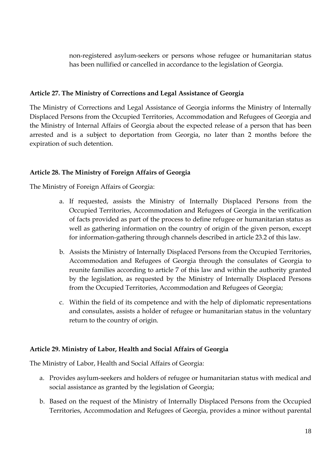non-registered asylum-seekers or persons whose refugee or humanitarian status has been nullified or cancelled in accordance to the legislation of Georgia.

## **Article 27. The Ministry of Corrections and Legal Assistance of Georgia**

The Ministry of Corrections and Legal Assistance of Georgia informs the Ministry of Internally Displaced Persons from the Occupied Territories, Accommodation and Refugees of Georgia and the Ministry of Internal Affairs of Georgia about the expected release of a person that has been arrested and is a subject to deportation from Georgia, no later than 2 months before the expiration of such detention.

# **Article 28. The Ministry of Foreign Affairs of Georgia**

The Ministry of Foreign Affairs of Georgia:

- a. If requested, assists the Ministry of Internally Displaced Persons from the Occupied Territories, Accommodation and Refugees of Georgia in the verification of facts provided as part of the process to define refugee or humanitarian status as well as gathering information on the country of origin of the given person, except for information-gathering through channels described in article 23.2 of this law.
- b. Assists the Ministry of Internally Displaced Persons from the Occupied Territories, Accommodation and Refugees of Georgia through the consulates of Georgia to reunite families according to article 7 of this law and within the authority granted by the legislation, as requested by the Ministry of Internally Displaced Persons from the Occupied Territories, Accommodation and Refugees of Georgia;
- c. Within the field of its competence and with the help of diplomatic representations and consulates, assists a holder of refugee or humanitarian status in the voluntary return to the country of origin.

## **Article 29. Ministry of Labor, Health and Social Affairs of Georgia**

The Ministry of Labor, Health and Social Affairs of Georgia:

- a. Provides asylum-seekers and holders of refugee or humanitarian status with medical and social assistance as granted by the legislation of Georgia;
- b. Based on the request of the Ministry of Internally Displaced Persons from the Occupied Territories, Accommodation and Refugees of Georgia, provides a minor without parental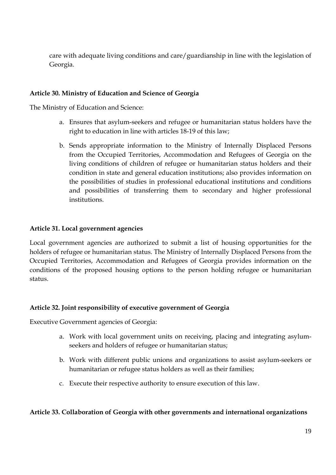care with adequate living conditions and care/guardianship in line with the legislation of Georgia.

### **Article 30. Ministry of Education and Science of Georgia**

The Ministry of Education and Science:

- a. Ensures that asylum-seekers and refugee or humanitarian status holders have the right to education in line with articles 18-19 of this law;
- b. Sends appropriate information to the Ministry of Internally Displaced Persons from the Occupied Territories, Accommodation and Refugees of Georgia on the living conditions of children of refugee or humanitarian status holders and their condition in state and general education institutions; also provides information on the possibilities of studies in professional educational institutions and conditions and possibilities of transferring them to secondary and higher professional institutions.

## **Article 31. Local government agencies**

Local government agencies are authorized to submit a list of housing opportunities for the holders of refugee or humanitarian status. The Ministry of Internally Displaced Persons from the Occupied Territories, Accommodation and Refugees of Georgia provides information on the conditions of the proposed housing options to the person holding refugee or humanitarian status.

#### **Article 32. Joint responsibility of executive government of Georgia**

Executive Government agencies of Georgia:

- a. Work with local government units on receiving, placing and integrating asylumseekers and holders of refugee or humanitarian status;
- b. Work with different public unions and organizations to assist asylum-seekers or humanitarian or refugee status holders as well as their families;
- c. Execute their respective authority to ensure execution of this law.

#### **Article 33. Collaboration of Georgia with other governments and international organizations**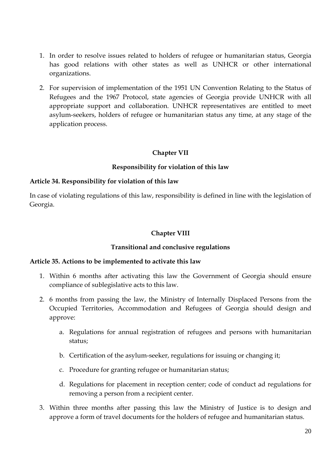- 1. In order to resolve issues related to holders of refugee or humanitarian status, Georgia has good relations with other states as well as UNHCR or other international organizations.
- 2. For supervision of implementation of the 1951 UN Convention Relating to the Status of Refugees and the 1967 Protocol, state agencies of Georgia provide UNHCR with all appropriate support and collaboration. UNHCR representatives are entitled to meet asylum-seekers, holders of refugee or humanitarian status any time, at any stage of the application process.

### **Chapter VII**

#### **Responsibility for violation of this law**

#### **Article 34. Responsibility for violation of this law**

In case of violating regulations of this law, responsibility is defined in line with the legislation of Georgia.

#### **Chapter VIII**

#### **Transitional and conclusive regulations**

#### **Article 35. Actions to be implemented to activate this law**

- 1. Within 6 months after activating this law the Government of Georgia should ensure compliance of sublegislative acts to this law.
- 2. 6 months from passing the law, the Ministry of Internally Displaced Persons from the Occupied Territories, Accommodation and Refugees of Georgia should design and approve:
	- a. Regulations for annual registration of refugees and persons with humanitarian status;
	- b. Certification of the asylum-seeker, regulations for issuing or changing it;
	- c. Procedure for granting refugee or humanitarian status;
	- d. Regulations for placement in reception center; code of conduct ad regulations for removing a person from a recipient center.
- 3. Within three months after passing this law the Ministry of Justice is to design and approve a form of travel documents for the holders of refugee and humanitarian status.